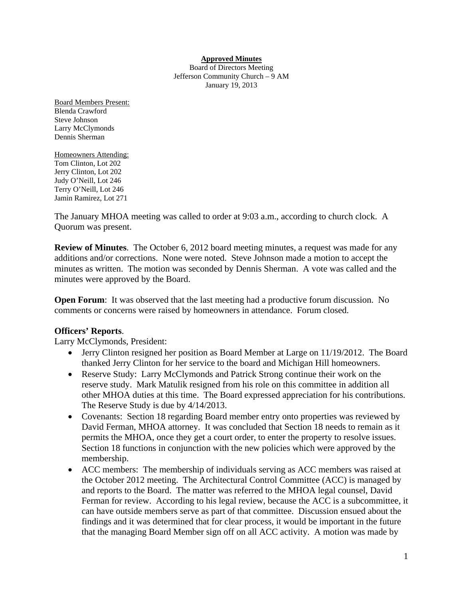### **Approved Minutes**

Board of Directors Meeting Jefferson Community Church – 9 AM January 19, 2013

Board Members Present: Blenda Crawford Steve Johnson Larry McClymonds Dennis Sherman

Homeowners Attending: Tom Clinton, Lot 202 Jerry Clinton, Lot 202 Judy O'Neill, Lot 246 Terry O'Neill, Lot 246 Jamin Ramirez, Lot 271

The January MHOA meeting was called to order at 9:03 a.m., according to church clock. A Quorum was present.

**Review of Minutes**. The October 6, 2012 board meeting minutes, a request was made for any additions and/or corrections. None were noted. Steve Johnson made a motion to accept the minutes as written. The motion was seconded by Dennis Sherman. A vote was called and the minutes were approved by the Board.

**Open Forum:** It was observed that the last meeting had a productive forum discussion. No comments or concerns were raised by homeowners in attendance. Forum closed.

### **Officers' Reports**.

Larry McClymonds, President:

- Jerry Clinton resigned her position as Board Member at Large on 11/19/2012. The Board thanked Jerry Clinton for her service to the board and Michigan Hill homeowners.
- Reserve Study: Larry McClymonds and Patrick Strong continue their work on the reserve study. Mark Matulik resigned from his role on this committee in addition all other MHOA duties at this time. The Board expressed appreciation for his contributions. The Reserve Study is due by 4/14/2013.
- Covenants: Section 18 regarding Board member entry onto properties was reviewed by David Ferman, MHOA attorney. It was concluded that Section 18 needs to remain as it permits the MHOA, once they get a court order, to enter the property to resolve issues. Section 18 functions in conjunction with the new policies which were approved by the membership.
- ACC members: The membership of individuals serving as ACC members was raised at the October 2012 meeting. The Architectural Control Committee (ACC) is managed by and reports to the Board. The matter was referred to the MHOA legal counsel, David Ferman for review. According to his legal review, because the ACC is a subcommittee, it can have outside members serve as part of that committee. Discussion ensued about the findings and it was determined that for clear process, it would be important in the future that the managing Board Member sign off on all ACC activity. A motion was made by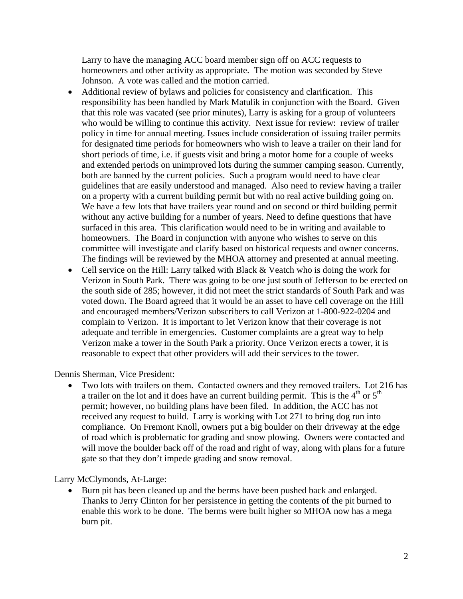Larry to have the managing ACC board member sign off on ACC requests to homeowners and other activity as appropriate. The motion was seconded by Steve Johnson. A vote was called and the motion carried.

- Additional review of bylaws and policies for consistency and clarification. This responsibility has been handled by Mark Matulik in conjunction with the Board. Given that this role was vacated (see prior minutes), Larry is asking for a group of volunteers who would be willing to continue this activity. Next issue for review: review of trailer policy in time for annual meeting. Issues include consideration of issuing trailer permits for designated time periods for homeowners who wish to leave a trailer on their land for short periods of time, i.e. if guests visit and bring a motor home for a couple of weeks and extended periods on unimproved lots during the summer camping season. Currently, both are banned by the current policies. Such a program would need to have clear guidelines that are easily understood and managed. Also need to review having a trailer on a property with a current building permit but with no real active building going on. We have a few lots that have trailers year round and on second or third building permit without any active building for a number of years. Need to define questions that have surfaced in this area. This clarification would need to be in writing and available to homeowners. The Board in conjunction with anyone who wishes to serve on this committee will investigate and clarify based on historical requests and owner concerns. The findings will be reviewed by the MHOA attorney and presented at annual meeting.
- Cell service on the Hill: Larry talked with Black & Veatch who is doing the work for Verizon in South Park. There was going to be one just south of Jefferson to be erected on the south side of 285; however, it did not meet the strict standards of South Park and was voted down. The Board agreed that it would be an asset to have cell coverage on the Hill and encouraged members/Verizon subscribers to call Verizon at 1-800-922-0204 and complain to Verizon. It is important to let Verizon know that their coverage is not adequate and terrible in emergencies. Customer complaints are a great way to help Verizon make a tower in the South Park a priority. Once Verizon erects a tower, it is reasonable to expect that other providers will add their services to the tower.

Dennis Sherman, Vice President:

• Two lots with trailers on them. Contacted owners and they removed trailers. Lot 216 has a trailer on the lot and it does have an current building permit. This is the  $4<sup>th</sup>$  or  $5<sup>th</sup>$ permit; however, no building plans have been filed. In addition, the ACC has not received any request to build. Larry is working with Lot 271 to bring dog run into compliance. On Fremont Knoll, owners put a big boulder on their driveway at the edge of road which is problematic for grading and snow plowing. Owners were contacted and will move the boulder back off of the road and right of way, along with plans for a future gate so that they don't impede grading and snow removal.

Larry McClymonds, At-Large:

• Burn pit has been cleaned up and the berms have been pushed back and enlarged. Thanks to Jerry Clinton for her persistence in getting the contents of the pit burned to enable this work to be done. The berms were built higher so MHOA now has a mega burn pit.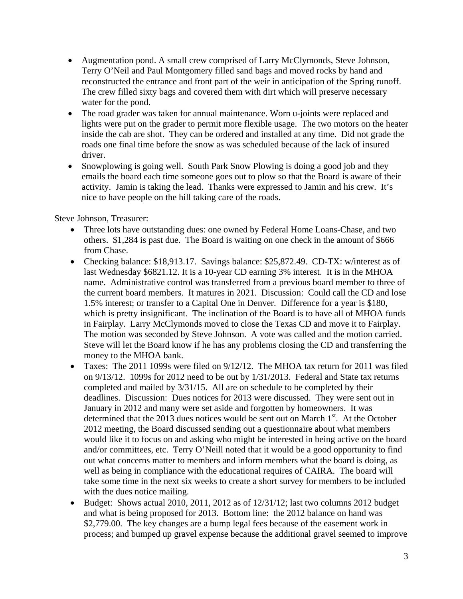- Augmentation pond. A small crew comprised of Larry McClymonds, Steve Johnson, Terry O'Neil and Paul Montgomery filled sand bags and moved rocks by hand and reconstructed the entrance and front part of the weir in anticipation of the Spring runoff. The crew filled sixty bags and covered them with dirt which will preserve necessary water for the pond.
- The road grader was taken for annual maintenance. Worn u-joints were replaced and lights were put on the grader to permit more flexible usage. The two motors on the heater inside the cab are shot. They can be ordered and installed at any time. Did not grade the roads one final time before the snow as was scheduled because of the lack of insured driver.
- Snowplowing is going well. South Park Snow Plowing is doing a good job and they emails the board each time someone goes out to plow so that the Board is aware of their activity. Jamin is taking the lead. Thanks were expressed to Jamin and his crew. It's nice to have people on the hill taking care of the roads.

Steve Johnson, Treasurer:

- Three lots have outstanding dues: one owned by Federal Home Loans-Chase, and two others. \$1,284 is past due. The Board is waiting on one check in the amount of \$666 from Chase.
- Checking balance: \$18,913.17. Savings balance: \$25,872.49. CD-TX: w/interest as of last Wednesday \$6821.12. It is a 10-year CD earning 3% interest. It is in the MHOA name. Administrative control was transferred from a previous board member to three of the current board members. It matures in 2021. Discussion: Could call the CD and lose 1.5% interest; or transfer to a Capital One in Denver. Difference for a year is \$180, which is pretty insignificant. The inclination of the Board is to have all of MHOA funds in Fairplay. Larry McClymonds moved to close the Texas CD and move it to Fairplay. The motion was seconded by Steve Johnson. A vote was called and the motion carried. Steve will let the Board know if he has any problems closing the CD and transferring the money to the MHOA bank.
- Taxes: The 2011 1099s were filed on 9/12/12. The MHOA tax return for 2011 was filed on 9/13/12. 1099s for 2012 need to be out by 1/31/2013. Federal and State tax returns completed and mailed by 3/31/15. All are on schedule to be completed by their deadlines. Discussion: Dues notices for 2013 were discussed. They were sent out in January in 2012 and many were set aside and forgotten by homeowners. It was determined that the 2013 dues notices would be sent out on March  $1<sup>st</sup>$ . At the October 2012 meeting, the Board discussed sending out a questionnaire about what members would like it to focus on and asking who might be interested in being active on the board and/or committees, etc. Terry O'Neill noted that it would be a good opportunity to find out what concerns matter to members and inform members what the board is doing, as well as being in compliance with the educational requires of CAIRA. The board will take some time in the next six weeks to create a short survey for members to be included with the dues notice mailing.
- Budget: Shows actual 2010, 2011, 2012 as of 12/31/12; last two columns 2012 budget and what is being proposed for 2013. Bottom line: the 2012 balance on hand was \$2,779.00. The key changes are a bump legal fees because of the easement work in process; and bumped up gravel expense because the additional gravel seemed to improve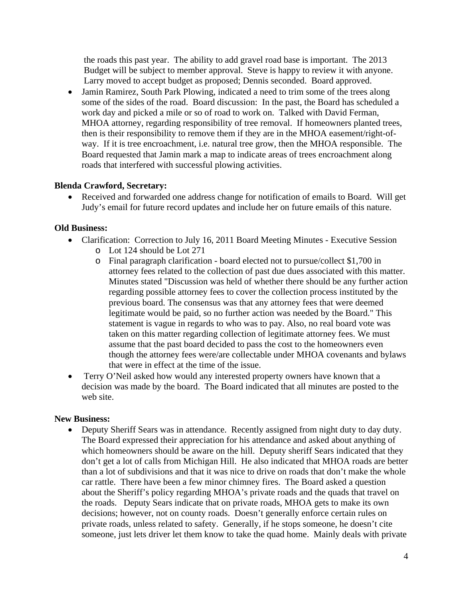the roads this past year. The ability to add gravel road base is important. The 2013 Budget will be subject to member approval. Steve is happy to review it with anyone. Larry moved to accept budget as proposed; Dennis seconded. Board approved.

• Jamin Ramirez, South Park Plowing, indicated a need to trim some of the trees along some of the sides of the road. Board discussion: In the past, the Board has scheduled a work day and picked a mile or so of road to work on. Talked with David Ferman, MHOA attorney, regarding responsibility of tree removal. If homeowners planted trees, then is their responsibility to remove them if they are in the MHOA easement/right-ofway. If it is tree encroachment, i.e. natural tree grow, then the MHOA responsible. The Board requested that Jamin mark a map to indicate areas of trees encroachment along roads that interfered with successful plowing activities.

# **Blenda Crawford, Secretary:**

• Received and forwarded one address change for notification of emails to Board. Will get Judy's email for future record updates and include her on future emails of this nature.

# **Old Business:**

- Clarification: Correction to July 16, 2011 Board Meeting Minutes Executive Session
	- o Lot 124 should be Lot 271
	- o Final paragraph clarification board elected not to pursue/collect \$1,700 in attorney fees related to the collection of past due dues associated with this matter. Minutes stated "Discussion was held of whether there should be any further action regarding possible attorney fees to cover the collection process instituted by the previous board. The consensus was that any attorney fees that were deemed legitimate would be paid, so no further action was needed by the Board." This statement is vague in regards to who was to pay. Also, no real board vote was taken on this matter regarding collection of legitimate attorney fees. We must assume that the past board decided to pass the cost to the homeowners even though the attorney fees were/are collectable under MHOA covenants and bylaws that were in effect at the time of the issue.
- Terry O'Neil asked how would any interested property owners have known that a decision was made by the board. The Board indicated that all minutes are posted to the web site.

# **New Business:**

• Deputy Sheriff Sears was in attendance. Recently assigned from night duty to day duty. The Board expressed their appreciation for his attendance and asked about anything of which homeowners should be aware on the hill. Deputy sheriff Sears indicated that they don't get a lot of calls from Michigan Hill. He also indicated that MHOA roads are better than a lot of subdivisions and that it was nice to drive on roads that don't make the whole car rattle. There have been a few minor chimney fires. The Board asked a question about the Sheriff's policy regarding MHOA's private roads and the quads that travel on the roads. Deputy Sears indicate that on private roads, MHOA gets to make its own decisions; however, not on county roads. Doesn't generally enforce certain rules on private roads, unless related to safety. Generally, if he stops someone, he doesn't cite someone, just lets driver let them know to take the quad home. Mainly deals with private